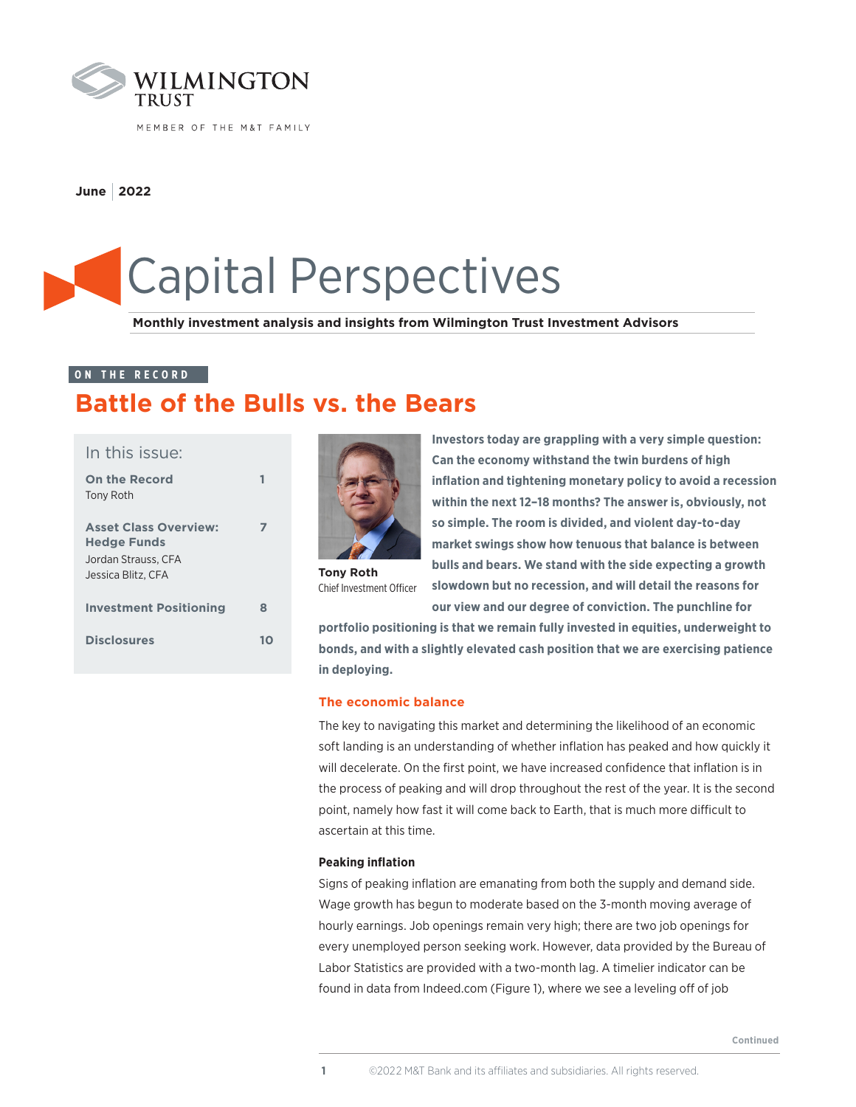

MEMBER OF THE M&T FAMILY

**June 2022**

# Capital Perspectives

**Monthly investment analysis and insights from Wilmington Trust Investment Advisors**

#### **ON THE RECORD**

# **Battle of the Bulls vs. the Bears**

| In this issue:                                                                                  |   |
|-------------------------------------------------------------------------------------------------|---|
| <b>On the Record</b><br>Tony Roth                                                               |   |
| <b>Asset Class Overview:</b><br><b>Hedge Funds</b><br>Jordan Strauss. CFA<br>Jessica Blitz, CFA |   |
| <b>Investment Positioning</b>                                                                   | 8 |
| <b>Disclosures</b>                                                                              |   |



**Tony Roth** Chief Investment Officer

**Investors today are grappling with a very simple question: Can the economy withstand the twin burdens of high inflation and tightening monetary policy to avoid a recession within the next 12–18 months? The answer is, obviously, not so simple. The room is divided, and violent day-to-day market swings show how tenuous that balance is between bulls and bears. We stand with the side expecting a growth slowdown but no recession, and will detail the reasons for** 

**our view and our degree of conviction. The punchline for portfolio positioning is that we remain fully invested in equities, underweight to** 

**bonds, and with a slightly elevated cash position that we are exercising patience in deploying.** 

#### **The economic balance**

The key to navigating this market and determining the likelihood of an economic soft landing is an understanding of whether inflation has peaked and how quickly it will decelerate. On the first point, we have increased confidence that inflation is in the process of peaking and will drop throughout the rest of the year. It is the second point, namely how fast it will come back to Earth, that is much more difficult to ascertain at this time.

#### **Peaking inflation**

Signs of peaking inflation are emanating from both the supply and demand side. Wage growth has begun to moderate based on the 3-month moving average of hourly earnings. Job openings remain very high; there are two job openings for every unemployed person seeking work. However, data provided by the Bureau of Labor Statistics are provided with a two-month lag. A timelier indicator can be found in data from Indeed.com (Figure 1), where we see a leveling off of job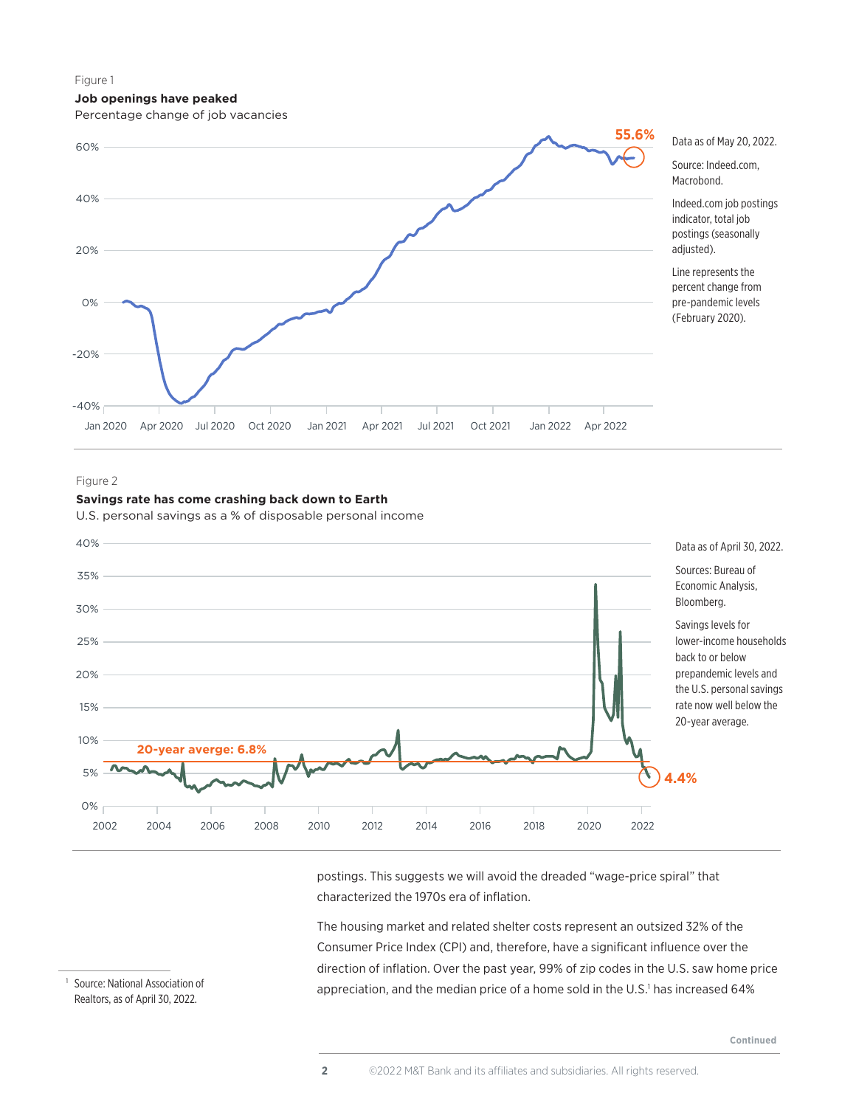#### **Job openings have peaked**

Percentage change of job vacancies



#### Figure 2



**Savings rate has come crashing back down to Earth**

U.S. personal savings as a % of disposable personal income

postings. This suggests we will avoid the dreaded "wage-price spiral" that characterized the 1970s era of inflation.

The housing market and related shelter costs represent an outsized 32% of the Consumer Price Index (CPI) and, therefore, have a significant influence over the direction of inflation. Over the past year, 99% of zip codes in the U.S. saw home price appreciation, and the median price of a home sold in the U.S.<sup>1</sup> has increased 64%

<sup>1</sup> Source: National Association of Realtors, as of April 30, 2022.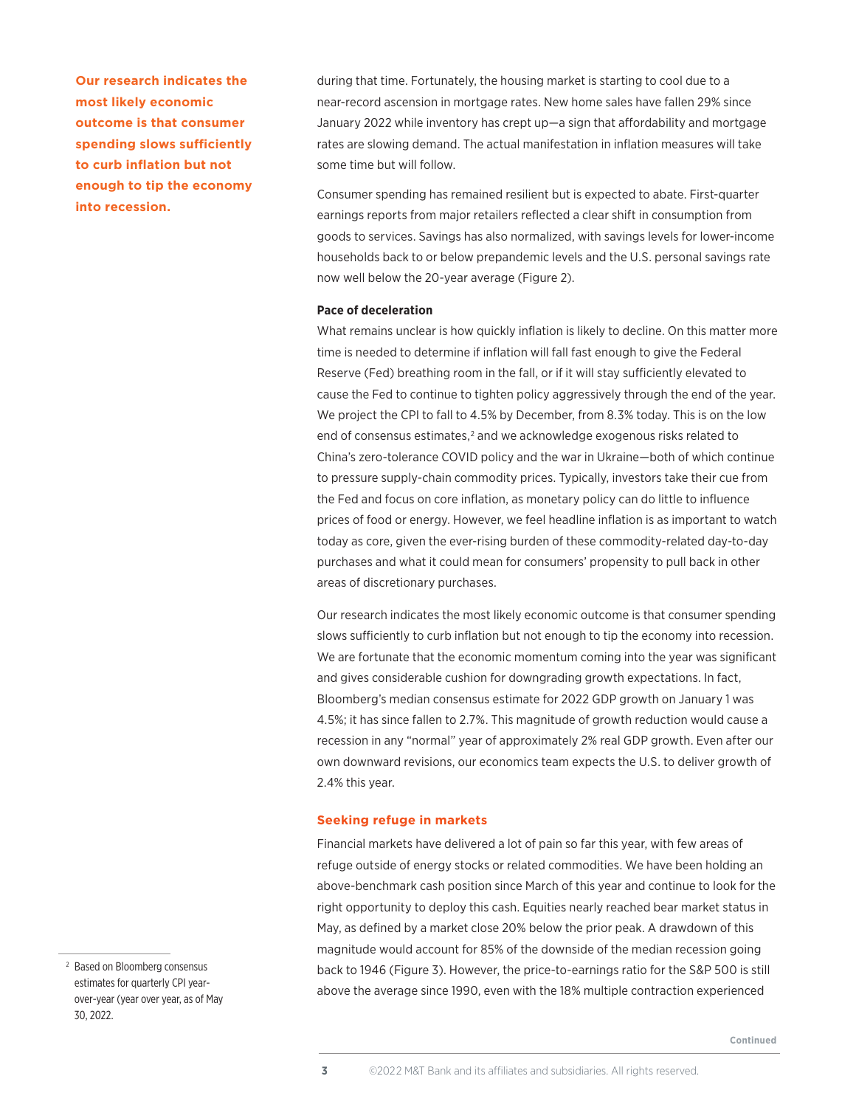**Our research indicates the most likely economic outcome is that consumer spending slows sufficiently to curb inflation but not enough to tip the economy into recession.**

during that time. Fortunately, the housing market is starting to cool due to a near-record ascension in mortgage rates. New home sales have fallen 29% since January 2022 while inventory has crept up—a sign that affordability and mortgage rates are slowing demand. The actual manifestation in inflation measures will take some time but will follow.

Consumer spending has remained resilient but is expected to abate. First-quarter earnings reports from major retailers reflected a clear shift in consumption from goods to services. Savings has also normalized, with savings levels for lower-income households back to or below prepandemic levels and the U.S. personal savings rate now well below the 20-year average (Figure 2).

#### **Pace of deceleration**

What remains unclear is how quickly inflation is likely to decline. On this matter more time is needed to determine if inflation will fall fast enough to give the Federal Reserve (Fed) breathing room in the fall, or if it will stay sufficiently elevated to cause the Fed to continue to tighten policy aggressively through the end of the year. We project the CPI to fall to 4.5% by December, from 8.3% today. This is on the low end of consensus estimates,<sup>2</sup> and we acknowledge exogenous risks related to China's zero-tolerance COVID policy and the war in Ukraine—both of which continue to pressure supply-chain commodity prices. Typically, investors take their cue from the Fed and focus on core inflation, as monetary policy can do little to influence prices of food or energy. However, we feel headline inflation is as important to watch today as core, given the ever-rising burden of these commodity-related day-to-day purchases and what it could mean for consumers' propensity to pull back in other areas of discretionary purchases.

Our research indicates the most likely economic outcome is that consumer spending slows sufficiently to curb inflation but not enough to tip the economy into recession. We are fortunate that the economic momentum coming into the year was significant and gives considerable cushion for downgrading growth expectations. In fact, Bloomberg's median consensus estimate for 2022 GDP growth on January 1 was 4.5%; it has since fallen to 2.7%. This magnitude of growth reduction would cause a recession in any "normal" year of approximately 2% real GDP growth. Even after our own downward revisions, our economics team expects the U.S. to deliver growth of 2.4% this year.

#### **Seeking refuge in markets**

Financial markets have delivered a lot of pain so far this year, with few areas of refuge outside of energy stocks or related commodities. We have been holding an above-benchmark cash position since March of this year and continue to look for the right opportunity to deploy this cash. Equities nearly reached bear market status in May, as defined by a market close 20% below the prior peak. A drawdown of this magnitude would account for 85% of the downside of the median recession going back to 1946 (Figure 3). However, the price-to-earnings ratio for the S&P 500 is still above the average since 1990, even with the 18% multiple contraction experienced

<sup>2</sup> Based on Bloomberg consensus estimates for quarterly CPI yearover-year (year over year, as of May 30, 2022.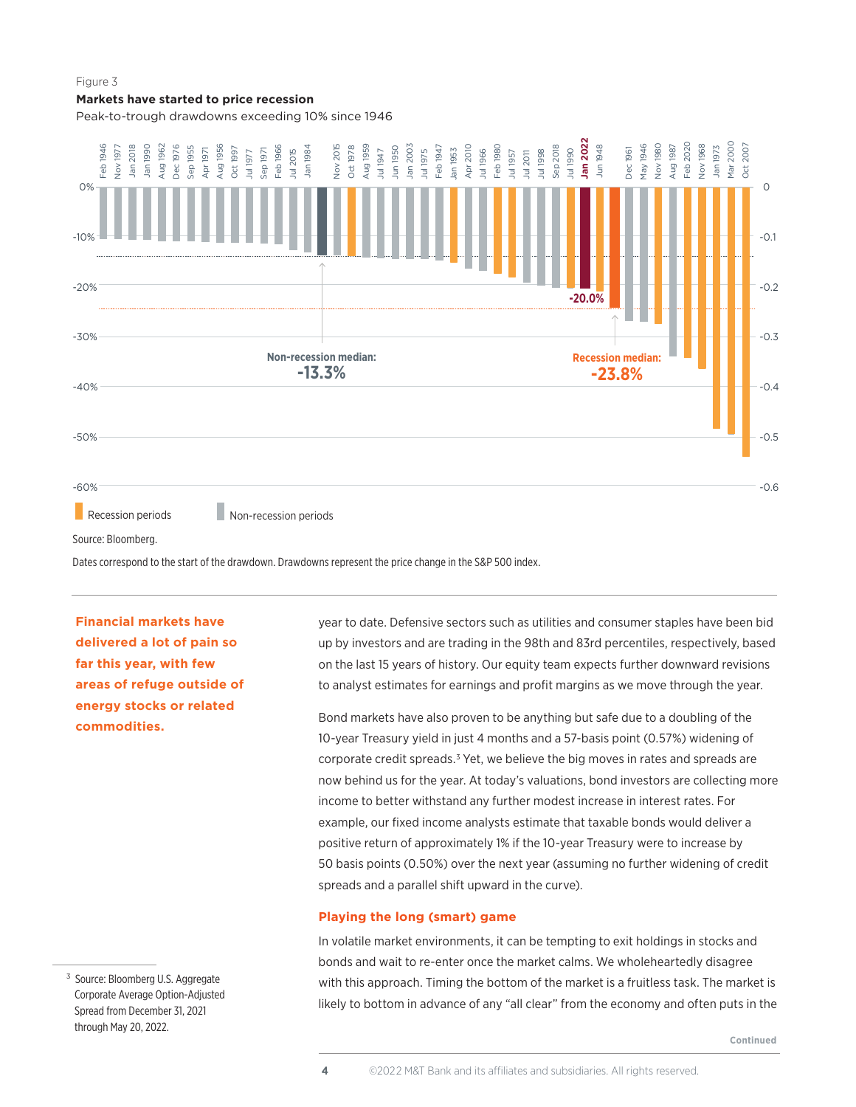#### **Markets have started to price recession**

Peak-to-trough drawdowns exceeding 10% since 1946



Dates correspond to the start of the drawdown. Drawdowns represent the price change in the S&P 500 index.

**Financial markets have delivered a lot of pain so far this year, with few areas of refuge outside of energy stocks or related commodities.** 

year to date. Defensive sectors such as utilities and consumer staples have been bid up by investors and are trading in the 98th and 83rd percentiles, respectively, based on the last 15 years of history. Our equity team expects further downward revisions to analyst estimates for earnings and profit margins as we move through the year.

Bond markets have also proven to be anything but safe due to a doubling of the 10-year Treasury yield in just 4 months and a 57-basis point (0.57%) widening of corporate credit spreads.<sup>3</sup> Yet, we believe the big moves in rates and spreads are now behind us for the year. At today's valuations, bond investors are collecting more income to better withstand any further modest increase in interest rates. For example, our fixed income analysts estimate that taxable bonds would deliver a positive return of approximately 1% if the 10-year Treasury were to increase by 50 basis points (0.50%) over the next year (assuming no further widening of credit spreads and a parallel shift upward in the curve).

#### **Playing the long (smart) game**

In volatile market environments, it can be tempting to exit holdings in stocks and bonds and wait to re-enter once the market calms. We wholeheartedly disagree with this approach. Timing the bottom of the market is a fruitless task. The market is likely to bottom in advance of any "all clear" from the economy and often puts in the

<sup>3</sup> Source: Bloomberg U.S. Aggregate Corporate Average Option-Adjusted Spread from December 31, 2021 through May 20, 2022.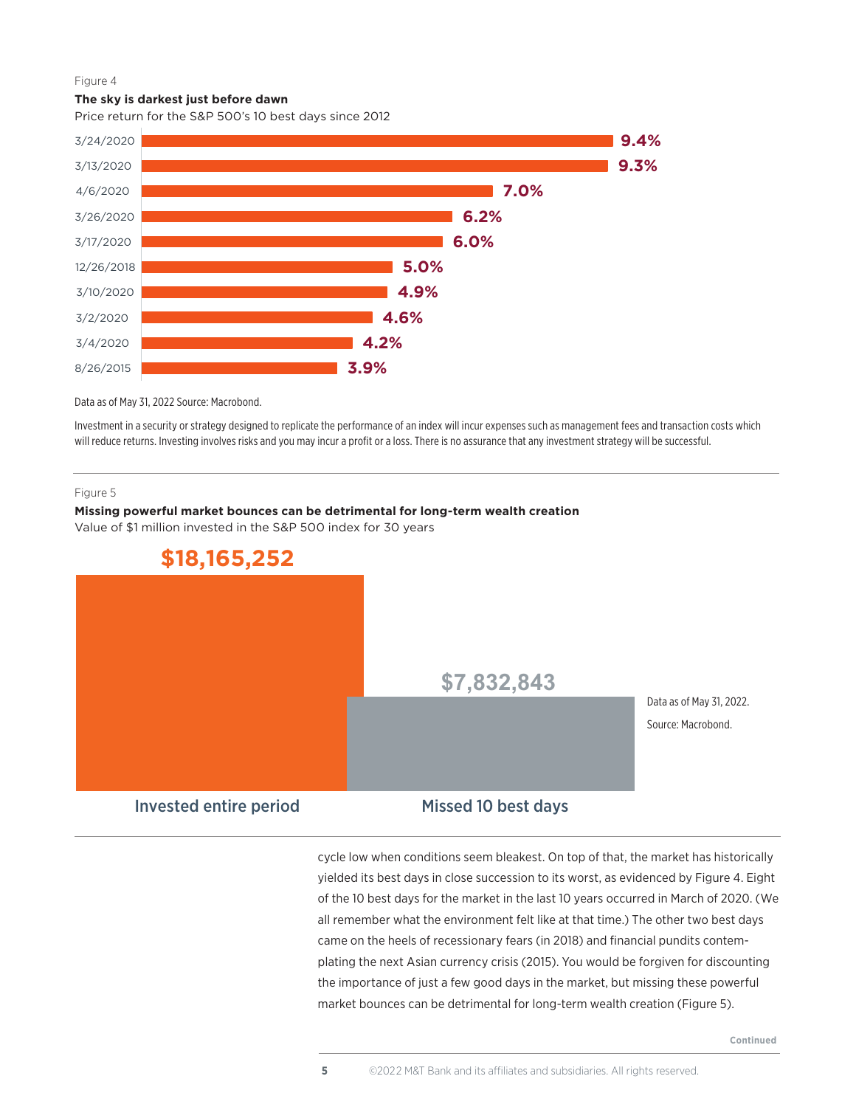#### **The sky is darkest just before dawn**

Price return for the S&P 500's 10 best days since 2012



Data as of May 31, 2022 Source: Macrobond.

Investment in a security or strategy designed to replicate the performance of an index will incur expenses such as management fees and transaction costs which will reduce returns. Investing involves risks and you may incur a profit or a loss. There is no assurance that any investment strategy will be successful.

#### Figure 5

#### **Missing powerful market bounces can be detrimental for long-term wealth creation**

Value of \$1 million invested in the S&P 500 index for 30 years



cycle low when conditions seem bleakest. On top of that, the market has historically yielded its best days in close succession to its worst, as evidenced by Figure 4. Eight of the 10 best days for the market in the last 10 years occurred in March of 2020. (We all remember what the environment felt like at that time.) The other two best days came on the heels of recessionary fears (in 2018) and financial pundits contemplating the next Asian currency crisis (2015). You would be forgiven for discounting the importance of just a few good days in the market, but missing these powerful market bounces can be detrimental for long-term wealth creation (Figure 5).

**Continued**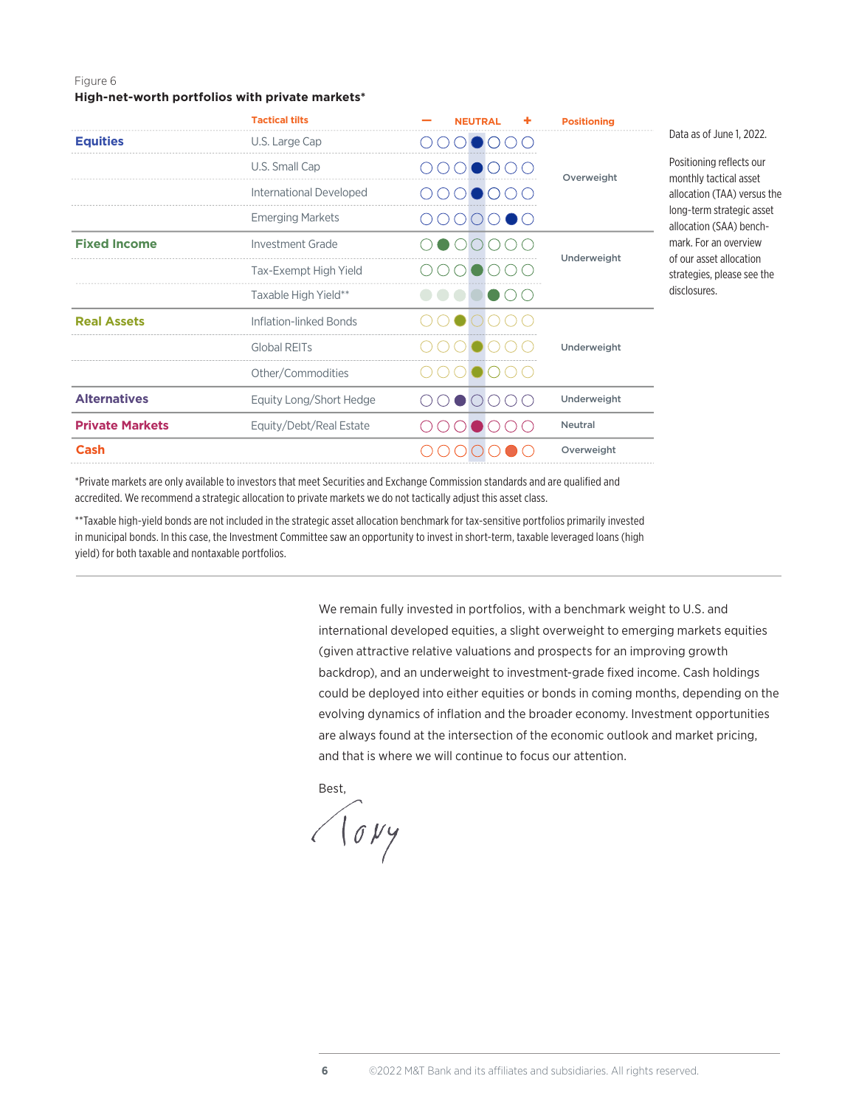#### **High-net-worth portfolios with private markets\***

|                        | <b>Tactical tilts</b>   | <b>NEUTRAL</b>     | <b>Positioning</b> |                                                       |
|------------------------|-------------------------|--------------------|--------------------|-------------------------------------------------------|
| <b>Equities</b>        | U.S. Large Cap          |                    | Overweight         | Data as of June 1, 2022.                              |
|                        | U.S. Small Cap          |                    |                    | Positioning reflects our<br>monthly tactical asset    |
|                        | International Developed |                    |                    | allocation (TAA) versus the                           |
|                        | <b>Emerging Markets</b> | $\blacksquare$ ( ) |                    | long-term strategic asset<br>allocation (SAA) bench-  |
| <b>Fixed Income</b>    | Investment Grade        |                    | Underweight        | mark. For an overview                                 |
|                        | Tax-Exempt High Yield   |                    |                    | of our asset allocation<br>strategies, please see the |
|                        | Taxable High Yield**    |                    |                    | disclosures.                                          |
| <b>Real Assets</b>     | Inflation-linked Bonds  |                    |                    |                                                       |
|                        | <b>Global REITs</b>     |                    | Underweight        |                                                       |
|                        | Other/Commodities       |                    |                    |                                                       |
| <b>Alternatives</b>    | Equity Long/Short Hedge |                    | Underweight        |                                                       |
| <b>Private Markets</b> | Equity/Debt/Real Estate |                    | <b>Neutral</b>     |                                                       |
| Cash                   |                         |                    | Overweight         |                                                       |

\*Private markets are only available to investors that meet Securities and Exchange Commission standards and are qualified and accredited. We recommend a strategic allocation to private markets we do not tactically adjust this asset class.

\*\*Taxable high-yield bonds are not included in the strategic asset allocation benchmark for tax-sensitive portfolios primarily invested in municipal bonds. In this case, the Investment Committee saw an opportunity to invest in short-term, taxable leveraged loans (high yield) for both taxable and nontaxable portfolios.

> We remain fully invested in portfolios, with a benchmark weight to U.S. and international developed equities, a slight overweight to emerging markets equities (given attractive relative valuations and prospects for an improving growth backdrop), and an underweight to investment-grade fixed income. Cash holdings could be deployed into either equities or bonds in coming months, depending on the evolving dynamics of inflation and the broader economy. Investment opportunities are always found at the intersection of the economic outlook and market pricing, and that is where we will continue to focus our attention.

Best,

Hovy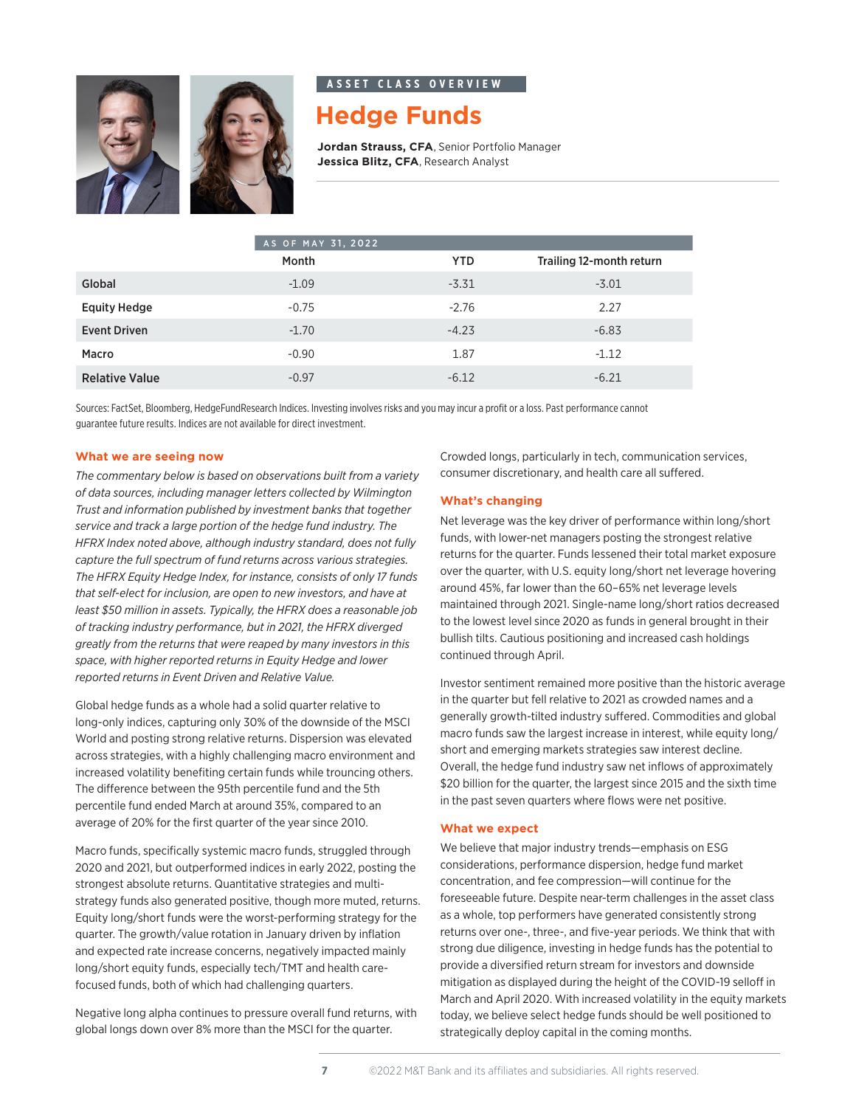



#### **a s s e t c l a s s o v e r v i e w**

### **Hedge Funds**

**Jordan Strauss, CFA**, Senior Portfolio Manager **Jessica Blitz, CFA**, Research Analyst

|                       | AS OF MAY 31, 2022 |            |                          |
|-----------------------|--------------------|------------|--------------------------|
|                       | Month              | <b>YTD</b> | Trailing 12-month return |
| Global                | $-1.09$            | $-3.31$    | $-3.01$                  |
| <b>Equity Hedge</b>   | $-0.75$            | $-2.76$    | 2.27                     |
| <b>Event Driven</b>   | $-1.70$            | $-4.23$    | $-6.83$                  |
| Macro                 | $-0.90$            | 1.87       | $-1.12$                  |
| <b>Relative Value</b> | $-0.97$            | $-6.12$    | $-6.21$                  |

Sources: FactSet, Bloomberg, HedgeFundResearch Indices. Investing involves risks and you may incur a profit or a loss. Past performance cannot guarantee future results. Indices are not available for direct investment.

#### **What we are seeing now**

*The commentary below is based on observations built from a variety of data sources, including manager letters collected by Wilmington Trust and information published by investment banks that together service and track a large portion of the hedge fund industry. The HFRX Index noted above, although industry standard, does not fully capture the full spectrum of fund returns across various strategies. The HFRX Equity Hedge Index, for instance, consists of only 17 funds that self-elect for inclusion, are open to new investors, and have at least \$50 million in assets. Typically, the HFRX does a reasonable job of tracking industry performance, but in 2021, the HFRX diverged greatly from the returns that were reaped by many investors in this space, with higher reported returns in Equity Hedge and lower reported returns in Event Driven and Relative Value.*

Global hedge funds as a whole had a solid quarter relative to long-only indices, capturing only 30% of the downside of the MSCI World and posting strong relative returns. Dispersion was elevated across strategies, with a highly challenging macro environment and increased volatility benefiting certain funds while trouncing others. The difference between the 95th percentile fund and the 5th percentile fund ended March at around 35%, compared to an average of 20% for the first quarter of the year since 2010.

Macro funds, specifically systemic macro funds, struggled through 2020 and 2021, but outperformed indices in early 2022, posting the strongest absolute returns. Quantitative strategies and multistrategy funds also generated positive, though more muted, returns. Equity long/short funds were the worst-performing strategy for the quarter. The growth/value rotation in January driven by inflation and expected rate increase concerns, negatively impacted mainly long/short equity funds, especially tech/TMT and health carefocused funds, both of which had challenging quarters.

Negative long alpha continues to pressure overall fund returns, with global longs down over 8% more than the MSCI for the quarter.

Crowded longs, particularly in tech, communication services, consumer discretionary, and health care all suffered.

#### **What's changing**

Net leverage was the key driver of performance within long/short funds, with lower-net managers posting the strongest relative returns for the quarter. Funds lessened their total market exposure over the quarter, with U.S. equity long/short net leverage hovering around 45%, far lower than the 60–65% net leverage levels maintained through 2021. Single-name long/short ratios decreased to the lowest level since 2020 as funds in general brought in their bullish tilts. Cautious positioning and increased cash holdings continued through April.

Investor sentiment remained more positive than the historic average in the quarter but fell relative to 2021 as crowded names and a generally growth-tilted industry suffered. Commodities and global macro funds saw the largest increase in interest, while equity long/ short and emerging markets strategies saw interest decline. Overall, the hedge fund industry saw net inflows of approximately \$20 billion for the quarter, the largest since 2015 and the sixth time in the past seven quarters where flows were net positive.

#### **What we expect**

We believe that major industry trends—emphasis on ESG considerations, performance dispersion, hedge fund market concentration, and fee compression—will continue for the foreseeable future. Despite near-term challenges in the asset class as a whole, top performers have generated consistently strong returns over one-, three-, and five-year periods. We think that with strong due diligence, investing in hedge funds has the potential to provide a diversified return stream for investors and downside mitigation as displayed during the height of the COVID-19 selloff in March and April 2020. With increased volatility in the equity markets today, we believe select hedge funds should be well positioned to strategically deploy capital in the coming months.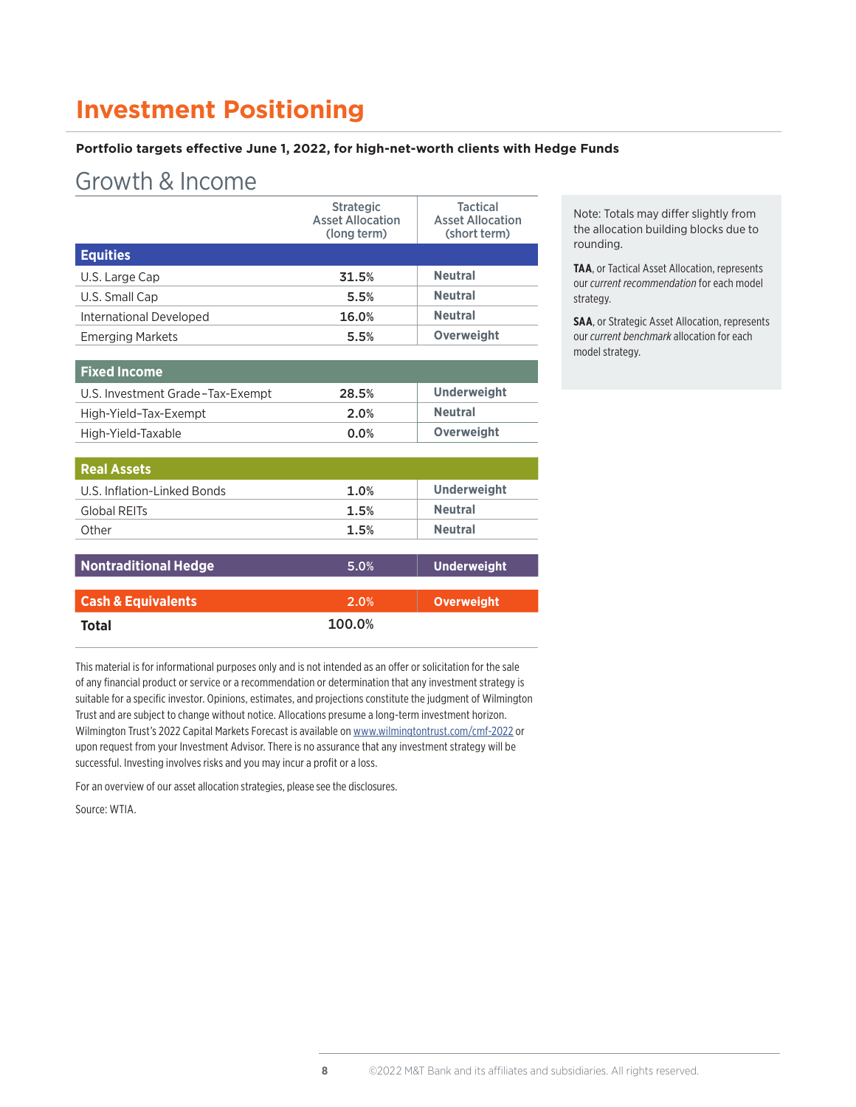### **Investment Positioning**

#### **Portfolio targets effective June 1, 2022, for high-net-worth clients with Hedge Funds**

### Growth & Income

|                         | <b>Strategic</b><br><b>Asset Allocation</b><br>(long term) | <b>Tactical</b><br><b>Asset Allocation</b><br>(short term) |
|-------------------------|------------------------------------------------------------|------------------------------------------------------------|
| <b>Equities</b>         |                                                            |                                                            |
| U.S. Large Cap          | 31.5%                                                      | <b>Neutral</b>                                             |
| U.S. Small Cap          | 5.5%                                                       | <b>Neutral</b>                                             |
| International Developed | 16.0%                                                      | <b>Neutral</b>                                             |
| <b>Emerging Markets</b> | 5.5%                                                       | Overweight                                                 |

| <b>Fixed Income</b>              |       |                    |
|----------------------------------|-------|--------------------|
| U.S. Investment Grade-Tax-Exempt | 28.5% | <b>Underweight</b> |
| High-Yield-Tax-Exempt            | 2.0%  | <b>Neutral</b>     |
| High-Yield-Taxable               | 0.0%  | <b>Overweight</b>  |

| <b>Real Assets</b>            |        |                    |
|-------------------------------|--------|--------------------|
| U.S. Inflation-Linked Bonds   | 1.0%   | <b>Underweight</b> |
| Global REITs                  | 1.5%   | <b>Neutral</b>     |
| Other                         | 1.5%   | <b>Neutral</b>     |
|                               |        |                    |
| <b>Nontraditional Hedge</b>   | 5.0%   | <b>Underweight</b> |
|                               |        |                    |
| <b>Cash &amp; Equivalents</b> | 2.0%   | <b>Overweight</b>  |
| Total                         | 100.0% |                    |

This material is for informational purposes only and is not intended as an offer or solicitation for the sale of any financial product or service or a recommendation or determination that any investment strategy is suitable for a specific investor. Opinions, estimates, and projections constitute the judgment of Wilmington Trust and are subject to change without notice. Allocations presume a long-term investment horizon. Wilmington Trust's 2022 Capital Markets Forecast is available on [www.wilmingtontrust.com/cmf-2022](https://www.wilmingtontrust.com/cmf-2022) or upon request from your Investment Advisor. There is no assurance that any investment strategy will be successful. Investing involves risks and you may incur a profit or a loss.

For an overview of our asset allocation strategies, please see the disclosures.

Source: WTIA.

Note: Totals may differ slightly from the allocation building blocks due to rounding.

**TAA**, or Tactical Asset Allocation, represents our *current recommendation* for each model strategy.

**SAA**, or Strategic Asset Allocation, represents our *current benchmark* allocation for each model strategy.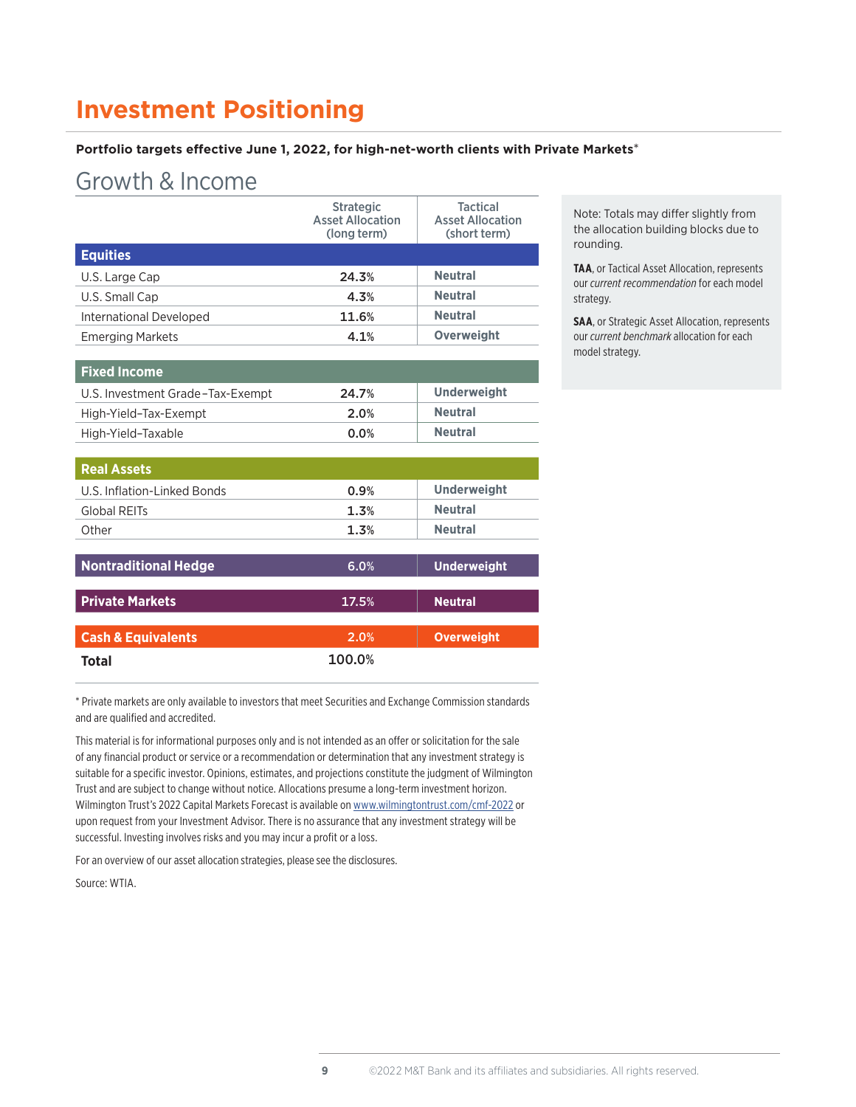### **Investment Positioning**

#### **Portfolio targets effective June 1, 2022, for high-net-worth clients with Private Markets**\*

### Growth & Income

|                         | <b>Strategic</b><br><b>Asset Allocation</b><br>(long term) | <b>Tactical</b><br><b>Asset Allocation</b><br>(short term) |
|-------------------------|------------------------------------------------------------|------------------------------------------------------------|
| <b>Equities</b>         |                                                            |                                                            |
| U.S. Large Cap          | 24.3%                                                      | <b>Neutral</b>                                             |
| U.S. Small Cap          | 4.3%                                                       | <b>Neutral</b>                                             |
| International Developed | 11.6%                                                      | <b>Neutral</b>                                             |
| <b>Emerging Markets</b> | 4.1%                                                       | <b>Overweight</b>                                          |

| <b>Fixed Income</b>              |       |                    |
|----------------------------------|-------|--------------------|
| U.S. Investment Grade-Tax-Exempt | 24.7% | <b>Underweight</b> |
| High-Yield-Tax-Exempt            | 2.0%  | <b>Neutral</b>     |
| High-Yield-Taxable               | 0.0%  | <b>Neutral</b>     |

| 0.9%   | <b>Underweight</b> |
|--------|--------------------|
| 1.3%   | <b>Neutral</b>     |
| 1.3%   | <b>Neutral</b>     |
|        |                    |
| 6.0%   | <b>Underweight</b> |
|        |                    |
| 17.5%  | <b>Neutral</b>     |
|        |                    |
| 2.0%   | <b>Overweight</b>  |
| 100.0% |                    |
|        |                    |

\* Private markets are only available to investors that meet Securities and Exchange Commission standards and are qualified and accredited.

This material is for informational purposes only and is not intended as an offer or solicitation for the sale of any financial product or service or a recommendation or determination that any investment strategy is suitable for a specific investor. Opinions, estimates, and projections constitute the judgment of Wilmington Trust and are subject to change without notice. Allocations presume a long-term investment horizon. Wilmington Trust's 2022 Capital Markets Forecast is available on [www.wilmingtontrust.com/cmf-2022](https://www.wilmingtontrust.com/cmf-2022) or upon request from your Investment Advisor. There is no assurance that any investment strategy will be successful. Investing involves risks and you may incur a profit or a loss.

For an overview of our asset allocation strategies, please see the disclosures.

Source: WTIA.

Note: Totals may differ slightly from the allocation building blocks due to rounding.

**TAA**, or Tactical Asset Allocation, represents our *current recommendation* for each model strategy.

**SAA**, or Strategic Asset Allocation, represents our *current benchmark* allocation for each model strategy.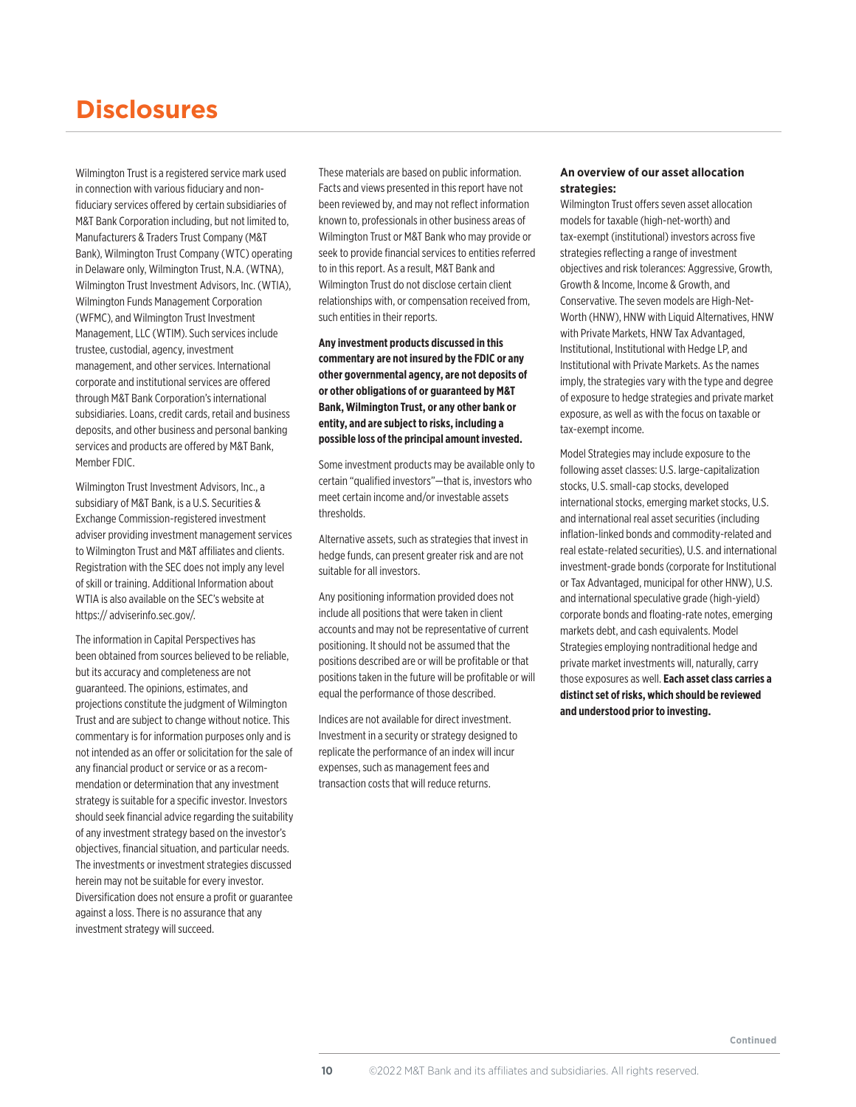### **Disclosures**

Wilmington Trust is a registered service mark used in connection with various fiduciary and nonfiduciary services offered by certain subsidiaries of M&T Bank Corporation including, but not limited to, Manufacturers & Traders Trust Company (M&T Bank), Wilmington Trust Company (WTC) operating in Delaware only, Wilmington Trust, N.A. (WTNA), Wilmington Trust Investment Advisors, Inc. (WTIA), Wilmington Funds Management Corporation (WFMC), and Wilmington Trust Investment Management, LLC (WTIM). Such services include trustee, custodial, agency, investment management, and other services. International corporate and institutional services are offered through M&T Bank Corporation's international subsidiaries. Loans, credit cards, retail and business deposits, and other business and personal banking services and products are offered by M&T Bank, Member FDIC.

Wilmington Trust Investment Advisors, Inc., a subsidiary of M&T Bank, is a U.S. Securities & Exchange Commission-registered investment adviser providing investment management services to Wilmington Trust and M&T affiliates and clients. Registration with the SEC does not imply any level of skill or training. Additional Information about WTIA is also available on the SEC's website at https:// adviserinfo.sec.gov/.

The information in Capital Perspectives has been obtained from sources believed to be reliable, but its accuracy and completeness are not guaranteed. The opinions, estimates, and projections constitute the judgment of Wilmington Trust and are subject to change without notice. This commentary is for information purposes only and is not intended as an offer or solicitation for the sale of any financial product or service or as a recommendation or determination that any investment strategy is suitable for a specific investor. Investors should seek financial advice regarding the suitability of any investment strategy based on the investor's objectives, financial situation, and particular needs. The investments or investment strategies discussed herein may not be suitable for every investor. Diversification does not ensure a profit or guarantee against a loss. There is no assurance that any investment strategy will succeed.

These materials are based on public information. Facts and views presented in this report have not been reviewed by, and may not reflect information known to, professionals in other business areas of Wilmington Trust or M&T Bank who may provide or seek to provide financial services to entities referred to in this report. As a result, M&T Bank and Wilmington Trust do not disclose certain client relationships with, or compensation received from, such entities in their reports.

#### **Any investment products discussed in this commentary are not insured by the FDIC or any other governmental agency, are not deposits of or other obligations of or guaranteed by M&T Bank, Wilmington Trust, or any other bank or entity, and are subject to risks, including a possible loss of the principal amount invested.**

Some investment products may be available only to certain "qualified investors"—that is, investors who meet certain income and/or investable assets thresholds.

Alternative assets, such as strategies that invest in hedge funds, can present greater risk and are not suitable for all investors.

Any positioning information provided does not include all positions that were taken in client accounts and may not be representative of current positioning. It should not be assumed that the positions described are or will be profitable or that positions taken in the future will be profitable or will equal the performance of those described.

Indices are not available for direct investment. Investment in a security or strategy designed to replicate the performance of an index will incur expenses, such as management fees and transaction costs that will reduce returns.

#### **An overview of our asset allocation strategies:**

Wilmington Trust offers seven asset allocation models for taxable (high-net-worth) and tax-exempt (institutional) investors across five strategies reflecting a range of investment objectives and risk tolerances: Aggressive, Growth, Growth & Income, Income & Growth, and Conservative. The seven models are High-Net-Worth (HNW), HNW with Liquid Alternatives, HNW with Private Markets, HNW Tax Advantaged, Institutional, Institutional with Hedge LP, and Institutional with Private Markets. As the names imply, the strategies vary with the type and degree of exposure to hedge strategies and private market exposure, as well as with the focus on taxable or tax-exempt income.

Model Strategies may include exposure to the following asset classes: U.S. large-capitalization stocks, U.S. small-cap stocks, developed international stocks, emerging market stocks, U.S. and international real asset securities (including inflation-linked bonds and commodity-related and real estate-related securities), U.S. and international investment-grade bonds (corporate for Institutional or Tax Advantaged, municipal for other HNW), U.S. and international speculative grade (high-yield) corporate bonds and floating-rate notes, emerging markets debt, and cash equivalents. Model Strategies employing nontraditional hedge and private market investments will, naturally, carry those exposures as well. **Each asset class carries a distinct set of risks, which should be reviewed and understood prior to investing.**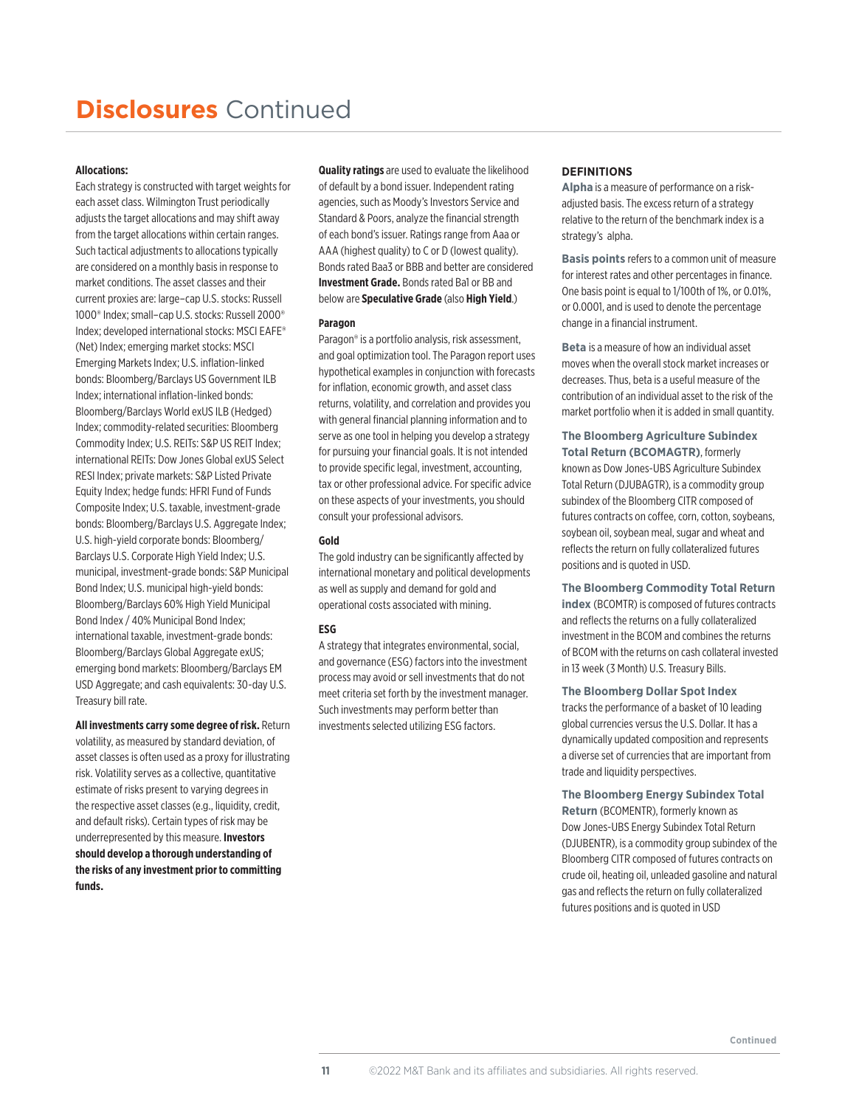# **Disclosures** Continued

#### **Allocations:**

Each strategy is constructed with target weights for each asset class. Wilmington Trust periodically adjusts the target allocations and may shift away from the target allocations within certain ranges. Such tactical adjustments to allocations typically are considered on a monthly basis in response to market conditions. The asset classes and their current proxies are: large–cap U.S. stocks: Russell 1000® Index; small–cap U.S. stocks: Russell 2000® Index; developed international stocks: MSCI EAFE® (Net) Index; emerging market stocks: MSCI Emerging Markets Index; U.S. inflation-linked bonds: Bloomberg/Barclays US Government ILB Index; international inflation-linked bonds: Bloomberg/Barclays World exUS ILB (Hedged) Index; commodity-related securities: Bloomberg Commodity Index; U.S. REITs: S&P US REIT Index; international REITs: Dow Jones Global exUS Select RESI Index; private markets: S&P Listed Private Equity Index; hedge funds: HFRI Fund of Funds Composite Index; U.S. taxable, investment-grade bonds: Bloomberg/Barclays U.S. Aggregate Index; U.S. high-yield corporate bonds: Bloomberg/ Barclays U.S. Corporate High Yield Index; U.S. municipal, investment-grade bonds: S&P Municipal Bond Index; U.S. municipal high-yield bonds: Bloomberg/Barclays 60% High Yield Municipal Bond Index / 40% Municipal Bond Index; international taxable, investment-grade bonds: Bloomberg/Barclays Global Aggregate exUS; emerging bond markets: Bloomberg/Barclays EM USD Aggregate; and cash equivalents: 30-day U.S. Treasury bill rate.

**All investments carry some degree of risk.** Return volatility, as measured by standard deviation, of asset classes is often used as a proxy for illustrating risk. Volatility serves as a collective, quantitative estimate of risks present to varying degrees in the respective asset classes (e.g., liquidity, credit, and default risks). Certain types of risk may be underrepresented by this measure. **Investors should develop a thorough understanding of the risks of any investment prior to committing funds.** 

**Quality ratings** are used to evaluate the likelihood of default by a bond issuer. Independent rating agencies, such as Moody's Investors Service and Standard & Poors, analyze the financial strength of each bond's issuer. Ratings range from Aaa or AAA (highest quality) to C or D (lowest quality). Bonds rated Baa3 or BBB and better are considered **Investment Grade.** Bonds rated Ba1 or BB and below are **Speculative Grade** (also **High Yield**.)

#### **Paragon**

Paragon® is a portfolio analysis, risk assessment, and goal optimization tool. The Paragon report uses hypothetical examples in conjunction with forecasts for inflation, economic growth, and asset class returns, volatility, and correlation and provides you with general financial planning information and to serve as one tool in helping you develop a strategy for pursuing your financial goals. It is not intended to provide specific legal, investment, accounting, tax or other professional advice. For specific advice on these aspects of your investments, you should consult your professional advisors.

#### **Gold**

The gold industry can be significantly affected by international monetary and political developments as well as supply and demand for gold and operational costs associated with mining.

#### **ESG**

A strategy that integrates environmental, social, and governance (ESG) factors into the investment process may avoid or sell investments that do not meet criteria set forth by the investment manager. Such investments may perform better than investments selected utilizing ESG factors.

#### **DEFINITIONS**

**Alpha** is a measure of performance on a riskadjusted basis. The excess return of a strategy relative to the return of the benchmark index is a strategy's alpha.

**Basis points** refers to a common unit of measure for interest rates and other percentages in finance. One basis point is equal to 1/100th of 1%, or 0.01%, or 0.0001, and is used to denote the percentage change in a financial instrument.

**Beta** is a measure of how an individual asset moves when the overall stock market increases or decreases. Thus, beta is a useful measure of the contribution of an individual asset to the risk of the market portfolio when it is added in small quantity.

**The Bloomberg Agriculture Subindex Total Return (BCOMAGTR)**, formerly known as Dow Jones-UBS Agriculture Subindex Total Return (DJUBAGTR), is a commodity group subindex of the Bloomberg CITR composed of futures contracts on coffee, corn, cotton, soybeans, soybean oil, soybean meal, sugar and wheat and reflects the return on fully collateralized futures positions and is quoted in USD.

**The Bloomberg Commodity Total Return index** (BCOMTR) is composed of futures contracts and reflects the returns on a fully collateralized investment in the BCOM and combines the returns of BCOM with the returns on cash collateral invested in 13 week (3 Month) U.S. Treasury Bills.

**The Bloomberg Dollar Spot Index** tracks the performance of a basket of 10 leading global currencies versus the U.S. Dollar. It has a

dynamically updated composition and represents a diverse set of currencies that are important from trade and liquidity perspectives.

**The Bloomberg Energy Subindex Total** 

**Return** (BCOMENTR), formerly known as Dow Jones-UBS Energy Subindex Total Return (DJUBENTR), is a commodity group subindex of the Bloomberg CITR composed of futures contracts on crude oil, heating oil, unleaded gasoline and natural gas and reflects the return on fully collateralized futures positions and is quoted in USD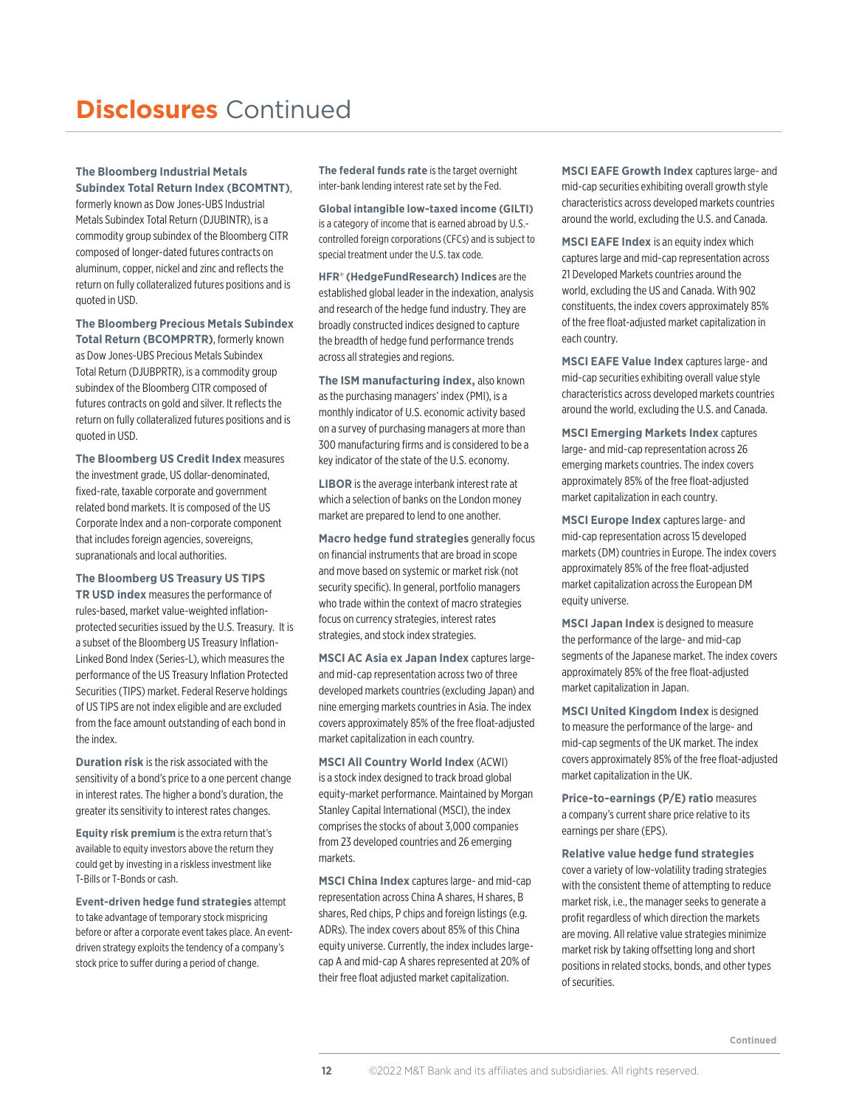# **Disclosures** Continued

#### **The Bloomberg Industrial Metals Subindex Total Return Index (BCOMTNT)**,

formerly known as Dow Jones-UBS Industrial Metals Subindex Total Return (DJUBINTR), is a commodity group subindex of the Bloomberg CITR composed of longer-dated futures contracts on aluminum, copper, nickel and zinc and reflects the return on fully collateralized futures positions and is quoted in USD.

**The Bloomberg Precious Metals Subindex Total Return (BCOMPRTR)**, formerly known

as Dow Jones-UBS Precious Metals Subindex Total Return (DJUBPRTR), is a commodity group subindex of the Bloomberg CITR composed of futures contracts on gold and silver. It reflects the return on fully collateralized futures positions and is quoted in USD.

**The Bloomberg US Credit Index** measures the investment grade, US dollar-denominated, fixed-rate, taxable corporate and government related bond markets. It is composed of the US Corporate Index and a non-corporate component that includes foreign agencies, sovereigns, supranationals and local authorities.

**The Bloomberg US Treasury US TIPS TR USD index** measures the performance of rules-based, market value-weighted inflationprotected securities issued by the U.S. Treasury. It is a subset of the Bloomberg US Treasury Inflation-Linked Bond Index (Series-L), which measures the performance of the US Treasury Inflation Protected Securities (TIPS) market. Federal Reserve holdings of US TIPS are not index eligible and are excluded from the face amount outstanding of each bond in the index.

**Duration risk** is the risk associated with the sensitivity of a bond's price to a one percent change in interest rates. The higher a bond's duration, the greater its sensitivity to interest rates changes.

**Equity risk premium** is the extra return that's available to equity investors above the return they could get by investing in a riskless investment like T-Bills or T-Bonds or cash.

**Event-driven hedge fund strategies** attempt to take advantage of temporary stock mispricing before or after a corporate event takes place. An eventdriven strategy exploits the tendency of a company's stock price to suffer during a period of change.

**The federal funds rate** is the target overnight inter-bank lending interest rate set by the Fed.

**Global intangible low-taxed income (GILTI)** is a category of income that is earned abroad by U.S. controlled foreign corporations (CFCs) and is subject to special treatment under the U.S. tax code.

**HFR® (HedgeFundResearch) Indices** are the established global leader in the indexation, analysis and research of the hedge fund industry. They are broadly constructed indices designed to capture the breadth of hedge fund performance trends across all strategies and regions.

**The ISM manufacturing index,** also known as the purchasing managers' index (PMI), is a monthly indicator of U.S. economic activity based on a survey of purchasing managers at more than 300 manufacturing firms and is considered to be a key indicator of the state of the U.S. economy.

**LIBOR** is the average interbank interest rate at which a selection of banks on the London money market are prepared to lend to one another.

**Macro hedge fund strategies** generally focus on financial instruments that are broad in scope and move based on systemic or market risk (not security specific). In general, portfolio managers who trade within the context of macro strategies focus on currency strategies, interest rates strategies, and stock index strategies.

**MSCI AC Asia ex Japan Index** captures largeand mid-cap representation across two of three developed markets countries (excluding Japan) and nine emerging markets countries in Asia. The index covers approximately 85% of the free float-adjusted market capitalization in each country.

**MSCI All Country World Index** (ACWI) is a stock index designed to track broad global equity-market performance. Maintained by Morgan Stanley Capital International (MSCI), the index comprises the stocks of about 3,000 companies from 23 developed countries and 26 emerging markets.

**MSCI China Index** captures large- and mid-cap representation across China A shares, H shares, B shares, Red chips, P chips and foreign listings (e.g. ADRs). The index covers about 85% of this China equity universe. Currently, the index includes largecap A and mid-cap A shares represented at 20% of their free float adjusted market capitalization.

**MSCI EAFE Growth Index** captures large- and mid-cap securities exhibiting overall growth style characteristics across developed markets countries around the world, excluding the U.S. and Canada.

**MSCI EAFE Index** is an equity index which captures large and mid-cap representation across 21 Developed Markets countries around the world, excluding the US and Canada. With 902 constituents, the index covers approximately 85% of the free float-adjusted market capitalization in each country.

**MSCI EAFE Value Index** captures large- and mid-cap securities exhibiting overall value style characteristics across developed markets countries around the world, excluding the U.S. and Canada.

**MSCI Emerging Markets Index** captures large- and mid-cap representation across 26 emerging markets countries. The index covers approximately 85% of the free float-adjusted market capitalization in each country.

**MSCI Europe Index** captures large- and mid-cap representation across 15 developed markets (DM) countries in Europe. The index covers approximately 85% of the free float-adjusted market capitalization across the European DM equity universe.

**MSCI Japan Index** is designed to measure the performance of the large- and mid-cap segments of the Japanese market. The index covers approximately 85% of the free float-adjusted market capitalization in Japan.

**MSCI United Kingdom Index** is designed to measure the performance of the large- and mid-cap segments of the UK market. The index covers approximately 85% of the free float-adjusted market capitalization in the UK.

**Price-to-earnings (P/E) ratio** measures a company's current share price relative to its earnings per share (EPS).

**Relative value hedge fund strategies**  cover a variety of low-volatility trading strategies with the consistent theme of attempting to reduce market risk, i.e., the manager seeks to generate a profit regardless of which direction the markets are moving. All relative value strategies minimize market risk by taking offsetting long and short positions in related stocks, bonds, and other types of securities.